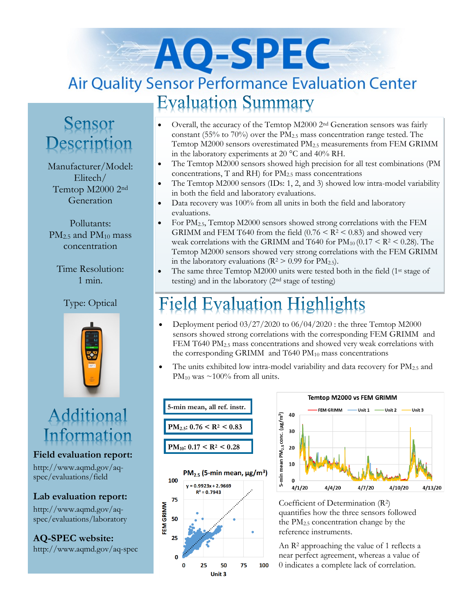# AO-SPEC **Air Quality Sensor Performance Evaluation Center Evaluation Summary**

### Sensor Description

Manufacturer/Model: Elitech/ Temtop M2000 2nd Generation

Pollutants:  $PM<sub>2.5</sub>$  and  $PM<sub>10</sub>$  mass concentration

Time Resolution: 1 min.

### Type: Optical



## Additional Information

**Field evaluation report:**

http://www.aqmd.gov/aqspec/evaluations/field

#### **Lab evaluation report:**

http://www.aqmd.gov/aqspec/evaluations/laboratory

**AQ-SPEC website:**  http://www.aqmd.gov/aq-spec

- Overall, the accuracy of the Temtop M2000 2nd Generation sensors was fairly constant (55% to 70%) over the PM2.5 mass concentration range tested. The Temtop M2000 sensors overestimated PM2.5 measurements from FEM GRIMM in the laboratory experiments at 20 °C and 40% RH.
- The Temtop M2000 sensors showed high precision for all test combinations (PM) concentrations,  $T$  and RH) for  $PM<sub>2.5</sub>$  mass concentrations
- The Temtop M2000 sensors (IDs: 1, 2, and 3) showed low intra-model variability in both the field and laboratory evaluations.
- Data recovery was 100% from all units in both the field and laboratory evaluations.
- For  $PM_{2.5}$ , Temtop M2000 sensors showed strong correlations with the FEM GRIMM and FEM T640 from the field  $(0.76 \le R^2 \le 0.83)$  and showed very weak correlations with the GRIMM and T640 for  $PM_{10}$  (0.17 < R<sup>2</sup> < 0.28). The Temtop M2000 sensors showed very strong correlations with the FEM GRIMM in the laboratory evaluations ( $R^2 > 0.99$  for  $PM_{2.5}$ ).
- The same three Temtop M2000 units were tested both in the field (1st stage of testing) and in the laboratory (2nd stage of testing)

## ield Evaluation Highlights

- Deployment period  $03/27/2020$  to  $06/04/2020$ : the three Temtop M2000 sensors showed strong correlations with the corresponding FEM GRIMM and FEM T640 PM<sub>2.5</sub> mass concentrations and showed very weak correlations with the corresponding GRIMM and  $T640 \text{ PM}_{10}$  mass concentrations
- The units exhibited low intra-model variability and data recovery for  $PM_{2.5}$  and PM<sub>10</sub> was  $\sim$ 100% from all units.







Coefficient of Determination (R2) quantifies how the three sensors followed the  $PM<sub>2.5</sub>$  concentration change by the reference instruments.

An R<sup>2</sup> approaching the value of 1 reflects a near perfect agreement, whereas a value of 0 indicates a complete lack of correlation.